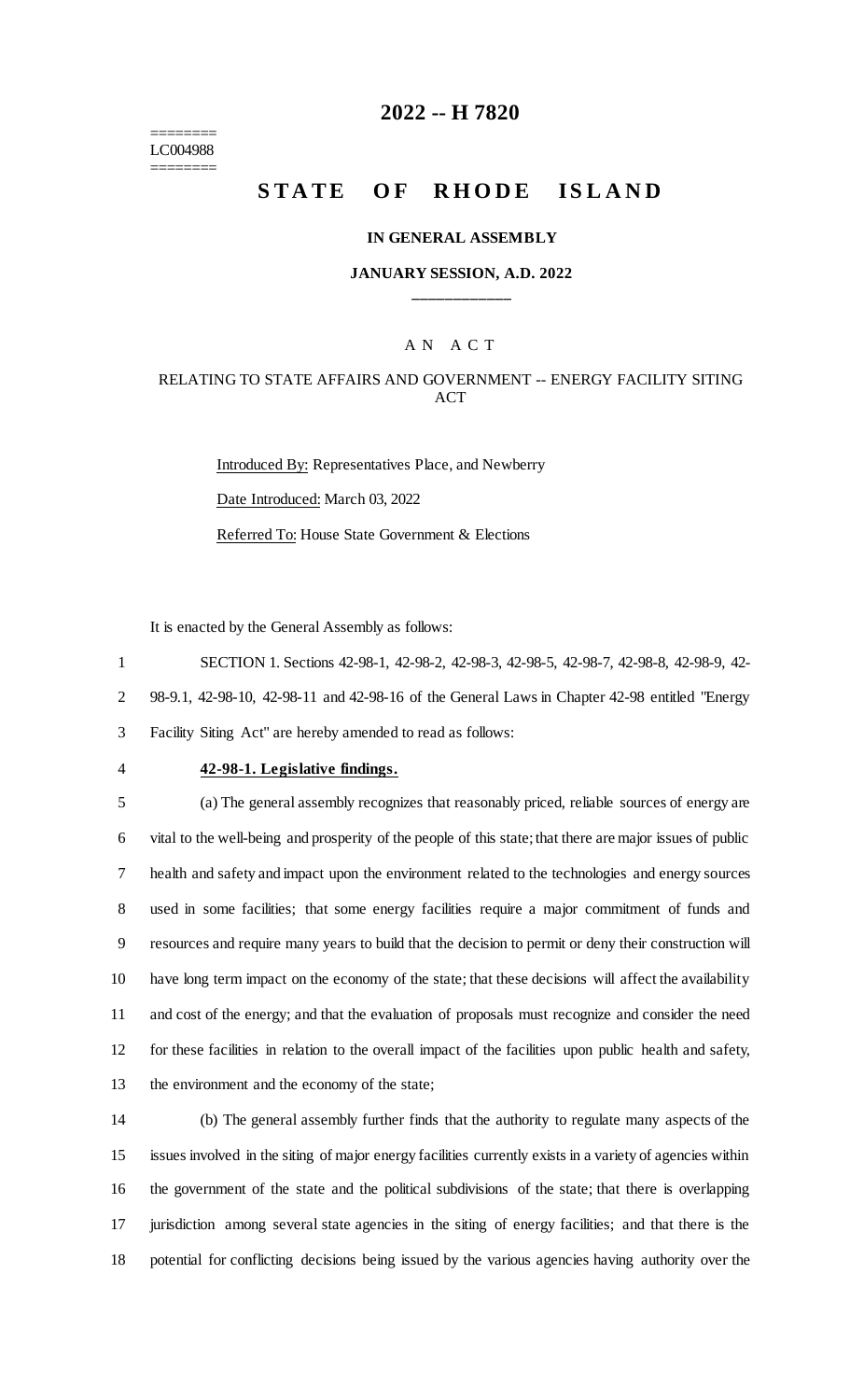======== LC004988 ========

## **2022 -- H 7820**

# **STATE OF RHODE ISLAND**

### **IN GENERAL ASSEMBLY**

### **JANUARY SESSION, A.D. 2022 \_\_\_\_\_\_\_\_\_\_\_\_**

### A N A C T

### RELATING TO STATE AFFAIRS AND GOVERNMENT -- ENERGY FACILITY SITING ACT

Introduced By: Representatives Place, and Newberry Date Introduced: March 03, 2022 Referred To: House State Government & Elections

It is enacted by the General Assembly as follows:

1 SECTION 1. Sections 42-98-1, 42-98-2, 42-98-3, 42-98-5, 42-98-7, 42-98-8, 42-98-9, 42-

2 98-9.1, 42-98-10, 42-98-11 and 42-98-16 of the General Laws in Chapter 42-98 entitled "Energy

3 Facility Siting Act" are hereby amended to read as follows:

### 4 **42-98-1. Legislative findings.**

 (a) The general assembly recognizes that reasonably priced, reliable sources of energy are vital to the well-being and prosperity of the people of this state; that there are major issues of public health and safety and impact upon the environment related to the technologies and energy sources used in some facilities; that some energy facilities require a major commitment of funds and resources and require many years to build that the decision to permit or deny their construction will have long term impact on the economy of the state; that these decisions will affect the availability and cost of the energy; and that the evaluation of proposals must recognize and consider the need for these facilities in relation to the overall impact of the facilities upon public health and safety, the environment and the economy of the state;

 (b) The general assembly further finds that the authority to regulate many aspects of the issues involved in the siting of major energy facilities currently exists in a variety of agencies within the government of the state and the political subdivisions of the state; that there is overlapping jurisdiction among several state agencies in the siting of energy facilities; and that there is the potential for conflicting decisions being issued by the various agencies having authority over the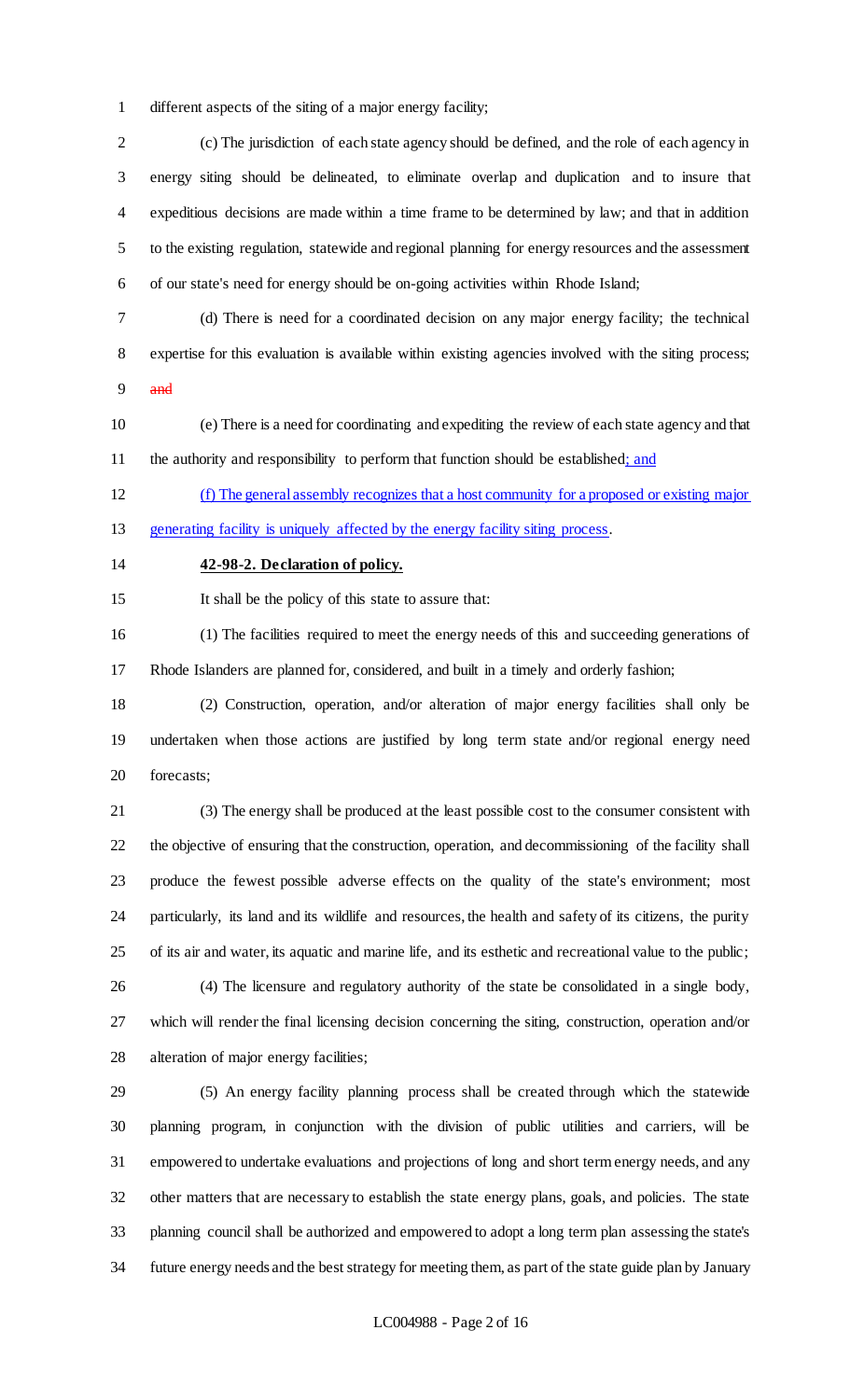different aspects of the siting of a major energy facility;

 (c) The jurisdiction of each state agency should be defined, and the role of each agency in energy siting should be delineated, to eliminate overlap and duplication and to insure that expeditious decisions are made within a time frame to be determined by law; and that in addition to the existing regulation, statewide and regional planning for energy resources and the assessment of our state's need for energy should be on-going activities within Rhode Island;

- (d) There is need for a coordinated decision on any major energy facility; the technical expertise for this evaluation is available within existing agencies involved with the siting process; and
- (e) There is a need for coordinating and expediting the review of each state agency and that 11 the authority and responsibility to perform that function should be established; and

 (f) The general assembly recognizes that a host community for a proposed or existing major 13 generating facility is uniquely affected by the energy facility siting process.

### **42-98-2. Declaration of policy.**

It shall be the policy of this state to assure that:

 (1) The facilities required to meet the energy needs of this and succeeding generations of Rhode Islanders are planned for, considered, and built in a timely and orderly fashion;

 (2) Construction, operation, and/or alteration of major energy facilities shall only be undertaken when those actions are justified by long term state and/or regional energy need forecasts;

 (3) The energy shall be produced at the least possible cost to the consumer consistent with the objective of ensuring that the construction, operation, and decommissioning of the facility shall produce the fewest possible adverse effects on the quality of the state's environment; most particularly, its land and its wildlife and resources, the health and safety of its citizens, the purity of its air and water, its aquatic and marine life, and its esthetic and recreational value to the public;

 (4) The licensure and regulatory authority of the state be consolidated in a single body, which will render the final licensing decision concerning the siting, construction, operation and/or alteration of major energy facilities;

 (5) An energy facility planning process shall be created through which the statewide planning program, in conjunction with the division of public utilities and carriers, will be empowered to undertake evaluations and projections of long and short term energy needs, and any other matters that are necessary to establish the state energy plans, goals, and policies. The state planning council shall be authorized and empowered to adopt a long term plan assessing the state's future energy needs and the best strategy for meeting them, as part of the state guide plan by January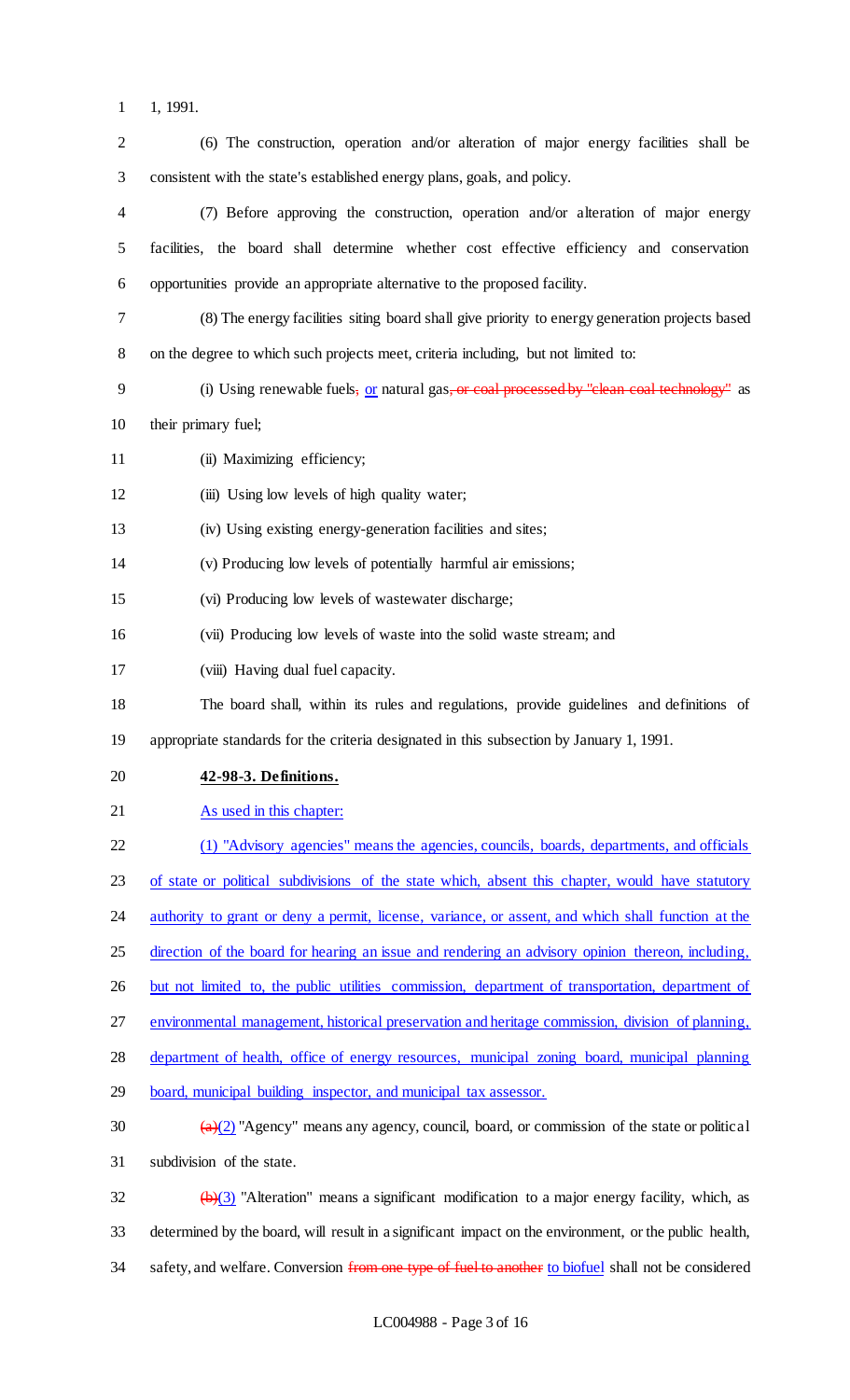1 1, 1991.

| $\overline{2}$           | (6) The construction, operation and/or alteration of major energy facilities shall be                          |
|--------------------------|----------------------------------------------------------------------------------------------------------------|
| 3                        | consistent with the state's established energy plans, goals, and policy.                                       |
| $\overline{\mathcal{A}}$ | (7) Before approving the construction, operation and/or alteration of major energy                             |
| 5                        | facilities, the board shall determine whether cost effective efficiency and conservation                       |
| 6                        | opportunities provide an appropriate alternative to the proposed facility.                                     |
| 7                        | (8) The energy facilities siting board shall give priority to energy generation projects based                 |
| $8\,$                    | on the degree to which such projects meet, criteria including, but not limited to:                             |
| 9                        | (i) Using renewable fuels, or natural gas, or coal processed by "clean coal technology" as                     |
| 10                       | their primary fuel;                                                                                            |
| 11                       | (ii) Maximizing efficiency;                                                                                    |
| 12                       | (iii) Using low levels of high quality water;                                                                  |
| 13                       | (iv) Using existing energy-generation facilities and sites;                                                    |
| 14                       | (v) Producing low levels of potentially harmful air emissions;                                                 |
| 15                       | (vi) Producing low levels of wastewater discharge;                                                             |
| 16                       | (vii) Producing low levels of waste into the solid waste stream; and                                           |
| 17                       | (viii) Having dual fuel capacity.                                                                              |
| 18                       | The board shall, within its rules and regulations, provide guidelines and definitions of                       |
| 19                       | appropriate standards for the criteria designated in this subsection by January 1, 1991.                       |
| 20                       | 42-98-3. Definitions.                                                                                          |
| 21                       | As used in this chapter:                                                                                       |
| 22                       |                                                                                                                |
|                          | (1) "Advisory agencies" means the agencies, councils, boards, departments, and officials                       |
| 23                       | of state or political subdivisions of the state which, absent this chapter, would have statutory               |
| 24                       | authority to grant or deny a permit, license, variance, or assent, and which shall function at the             |
| 25                       | direction of the board for hearing an issue and rendering an advisory opinion thereon, including,              |
| 26                       | but not limited to, the public utilities commission, department of transportation, department of               |
| 27                       | environmental management, historical preservation and heritage commission, division of planning,               |
| 28                       | department of health, office of energy resources, municipal zoning board, municipal planning                   |
| 29                       | board, municipal building inspector, and municipal tax assessor.                                               |
| 30                       | $(a)(2)$ "Agency" means any agency, council, board, or commission of the state or political                    |
| 31                       | subdivision of the state.                                                                                      |
| 32                       | $\left(\frac{h}{c}\right)$ "Alteration" means a significant modification to a major energy facility, which, as |

34 safety, and welfare. Conversion from one type of fuel to another to biofuel shall not be considered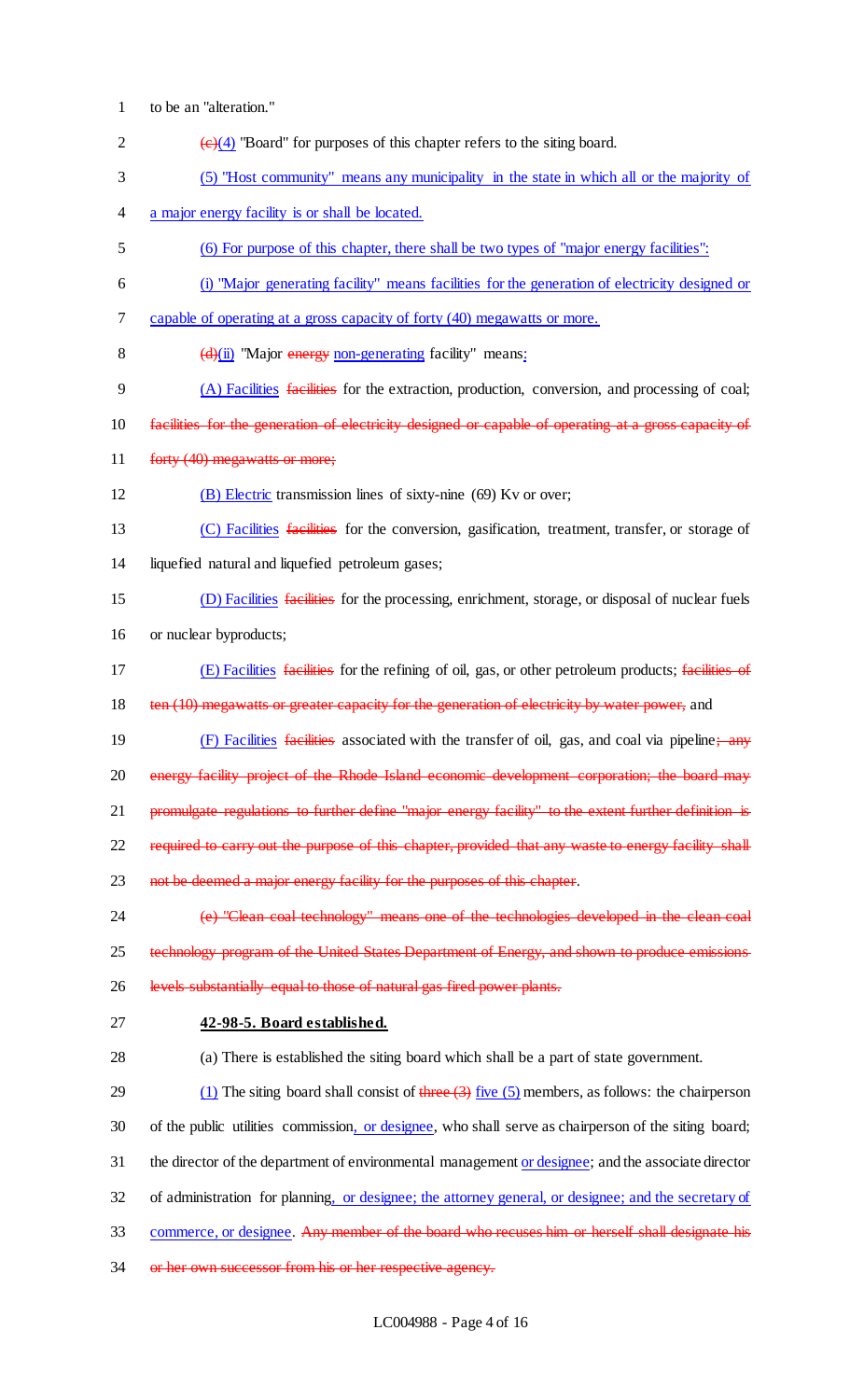- 1 to be an "alteration."
- 2  $\left(\frac{e}{4}\right)$  "Board" for purposes of this chapter refers to the siting board. 3 (5) "Host community" means any municipality in the state in which all or the majority of 4 a major energy facility is or shall be located. 5 (6) For purpose of this chapter, there shall be two types of "major energy facilities": 6 (i) "Major generating facility" means facilities for the generation of electricity designed or 7 capable of operating at a gross capacity of forty (40) megawatts or more. 8  $(d)(ii)$  "Major energy non-generating facility" means: 9 (A) Facilities facilities for the extraction, production, conversion, and processing of coal; 10 facilities for the generation of electricity designed or capable of operating at a gross capacity of 11 forty (40) megawatts or more; 12 (B) Electric transmission lines of sixty-nine (69) Kv or over; 13 (C) Facilities facilities for the conversion, gasification, treatment, transfer, or storage of 14 liquefied natural and liquefied petroleum gases; 15 (D) Facilities facilities for the processing, enrichment, storage, or disposal of nuclear fuels 16 or nuclear byproducts; 17 (E) Facilities facilities for the refining of oil, gas, or other petroleum products; facilities of 18 ten (10) megawatts or greater capacity for the generation of electricity by water power, and 19 (F) Facilities facilities associated with the transfer of oil, gas, and coal via pipeline; any 20 energy facility project of the Rhode Island economic development corporation; the board may 21 promulgate regulations to further define "major energy facility" to the extent further definition is 22 required to carry out the purpose of this chapter, provided that any waste to energy facility shall 23 not be deemed a major energy facility for the purposes of this chapter. 24 (e) "Clean coal technology" means one of the technologies developed in the clean coal 25 technology program of the United States Department of Energy, and shown to produce emissions 26 levels substantially equal to those of natural gas fired power plants. 27 **42-98-5. Board established.** 28 (a) There is established the siting board which shall be a part of state government. 29 (1) The siting board shall consist of  $t$ hree  $(3)$  five  $(5)$  members, as follows: the chairperson 30 of the public utilities commission, or designee, who shall serve as chairperson of the siting board; 31 the director of the department of environmental management or designee; and the associate director 32 of administration for planning, or designee; the attorney general, or designee; and the secretary of 33 commerce, or designee. Any member of the board who recuses him or herself shall designate his 34 or her own successor from his or her respective agency.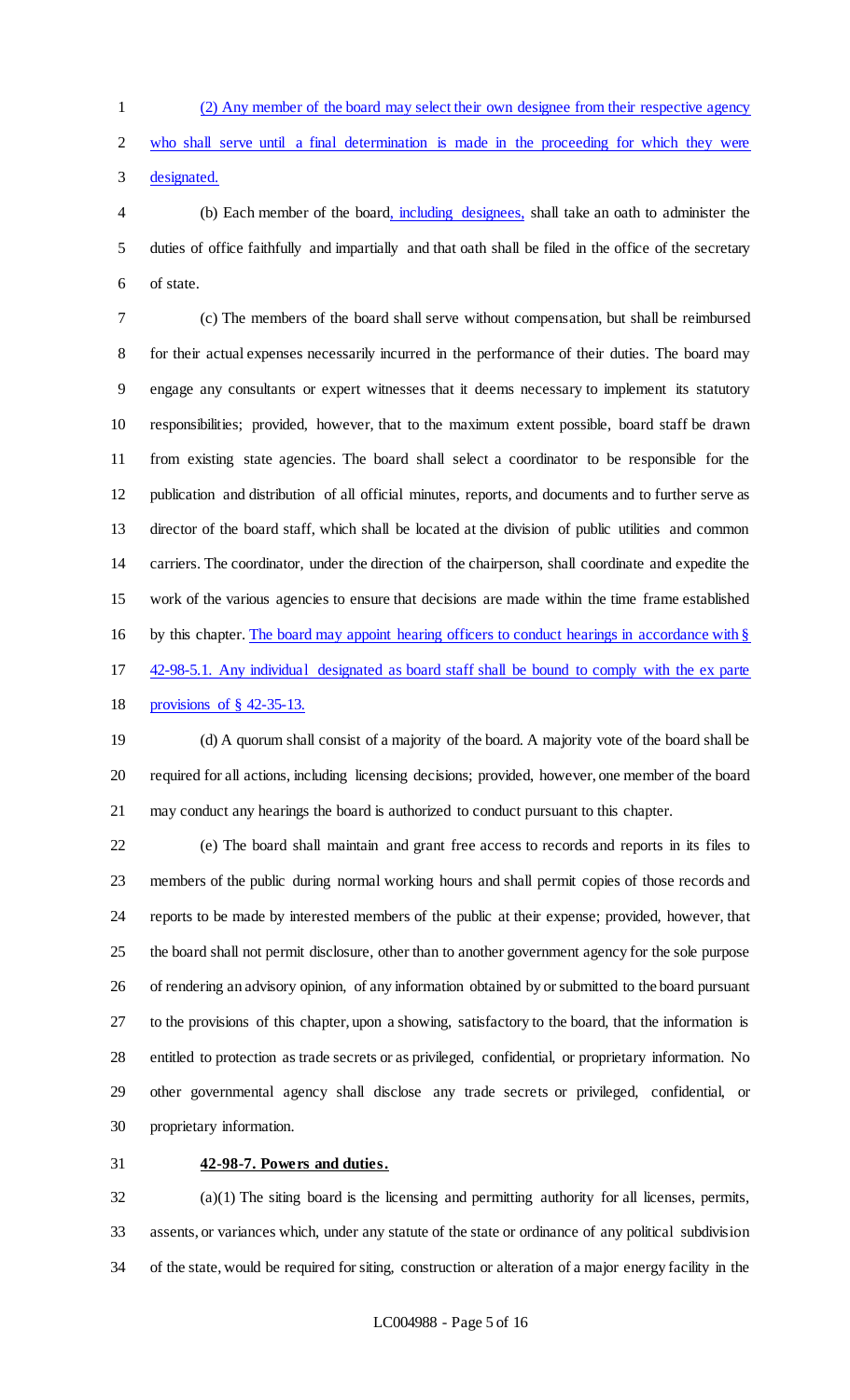(2) Any member of the board may select their own designee from their respective agency

who shall serve until a final determination is made in the proceeding for which they were

designated.

 (b) Each member of the board, including designees, shall take an oath to administer the duties of office faithfully and impartially and that oath shall be filed in the office of the secretary of state.

 (c) The members of the board shall serve without compensation, but shall be reimbursed for their actual expenses necessarily incurred in the performance of their duties. The board may engage any consultants or expert witnesses that it deems necessary to implement its statutory responsibilities; provided, however, that to the maximum extent possible, board staff be drawn from existing state agencies. The board shall select a coordinator to be responsible for the publication and distribution of all official minutes, reports, and documents and to further serve as director of the board staff, which shall be located at the division of public utilities and common carriers. The coordinator, under the direction of the chairperson, shall coordinate and expedite the work of the various agencies to ensure that decisions are made within the time frame established 16 by this chapter. The board may appoint hearing officers to conduct hearings in accordance with § 42-98-5.1. Any individual designated as board staff shall be bound to comply with the ex parte

provisions of § 42-35-13.

 (d) A quorum shall consist of a majority of the board. A majority vote of the board shall be required for all actions, including licensing decisions; provided, however, one member of the board may conduct any hearings the board is authorized to conduct pursuant to this chapter.

 (e) The board shall maintain and grant free access to records and reports in its files to members of the public during normal working hours and shall permit copies of those records and reports to be made by interested members of the public at their expense; provided, however, that the board shall not permit disclosure, other than to another government agency for the sole purpose of rendering an advisory opinion, of any information obtained by or submitted to the board pursuant to the provisions of this chapter, upon a showing, satisfactory to the board, that the information is entitled to protection as trade secrets or as privileged, confidential, or proprietary information. No other governmental agency shall disclose any trade secrets or privileged, confidential, or proprietary information.

### **42-98-7. Powers and duties.**

 (a)(1) The siting board is the licensing and permitting authority for all licenses, permits, assents, or variances which, under any statute of the state or ordinance of any political subdivision of the state, would be required for siting, construction or alteration of a major energy facility in the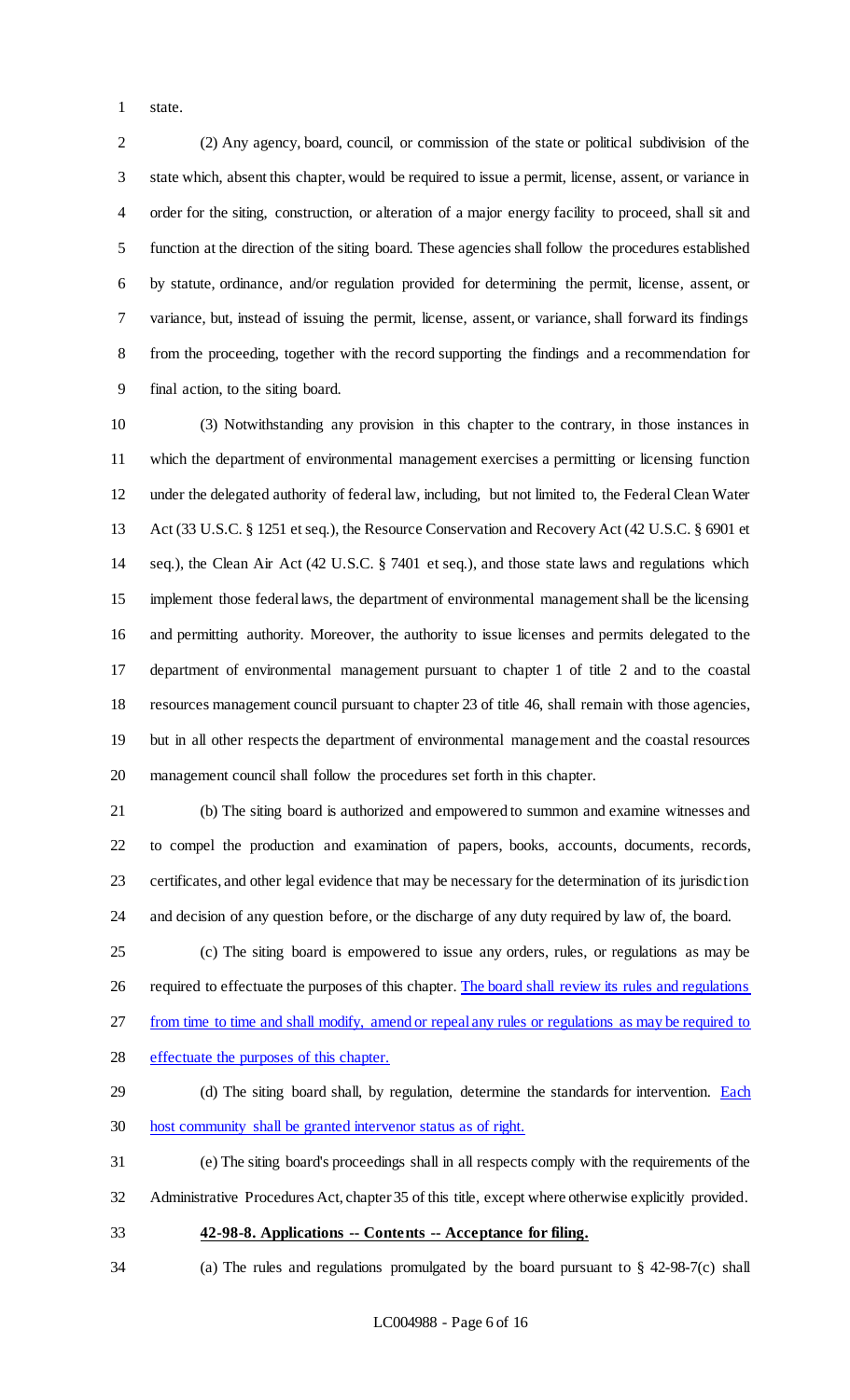state.

 (2) Any agency, board, council, or commission of the state or political subdivision of the state which, absent this chapter, would be required to issue a permit, license, assent, or variance in order for the siting, construction, or alteration of a major energy facility to proceed, shall sit and function at the direction of the siting board. These agencies shall follow the procedures established by statute, ordinance, and/or regulation provided for determining the permit, license, assent, or variance, but, instead of issuing the permit, license, assent, or variance, shall forward its findings from the proceeding, together with the record supporting the findings and a recommendation for final action, to the siting board.

 (3) Notwithstanding any provision in this chapter to the contrary, in those instances in which the department of environmental management exercises a permitting or licensing function under the delegated authority of federal law, including, but not limited to, the Federal Clean Water Act (33 U.S.C. § 1251 et seq.), the Resource Conservation and Recovery Act (42 U.S.C. § 6901 et seq.), the Clean Air Act (42 U.S.C. § 7401 et seq.), and those state laws and regulations which implement those federal laws, the department of environmental management shall be the licensing and permitting authority. Moreover, the authority to issue licenses and permits delegated to the department of environmental management pursuant to chapter 1 of title 2 and to the coastal resources management council pursuant to chapter 23 of title 46, shall remain with those agencies, but in all other respects the department of environmental management and the coastal resources management council shall follow the procedures set forth in this chapter.

 (b) The siting board is authorized and empowered to summon and examine witnesses and to compel the production and examination of papers, books, accounts, documents, records, certificates, and other legal evidence that may be necessary for the determination of its jurisdiction and decision of any question before, or the discharge of any duty required by law of, the board.

 (c) The siting board is empowered to issue any orders, rules, or regulations as may be 26 required to effectuate the purposes of this chapter. The board shall review its rules and regulations from time to time and shall modify, amend or repeal any rules or regulations as may be required to effectuate the purposes of this chapter.

- 29 (d) The siting board shall, by regulation, determine the standards for intervention. Each
- host community shall be granted intervenor status as of right.
- (e) The siting board's proceedings shall in all respects comply with the requirements of the Administrative Procedures Act, chapter 35 of this title, except where otherwise explicitly provided.
- **42-98-8. Applications -- Contents -- Acceptance for filing.**
- (a) The rules and regulations promulgated by the board pursuant to § 42-98-7(c) shall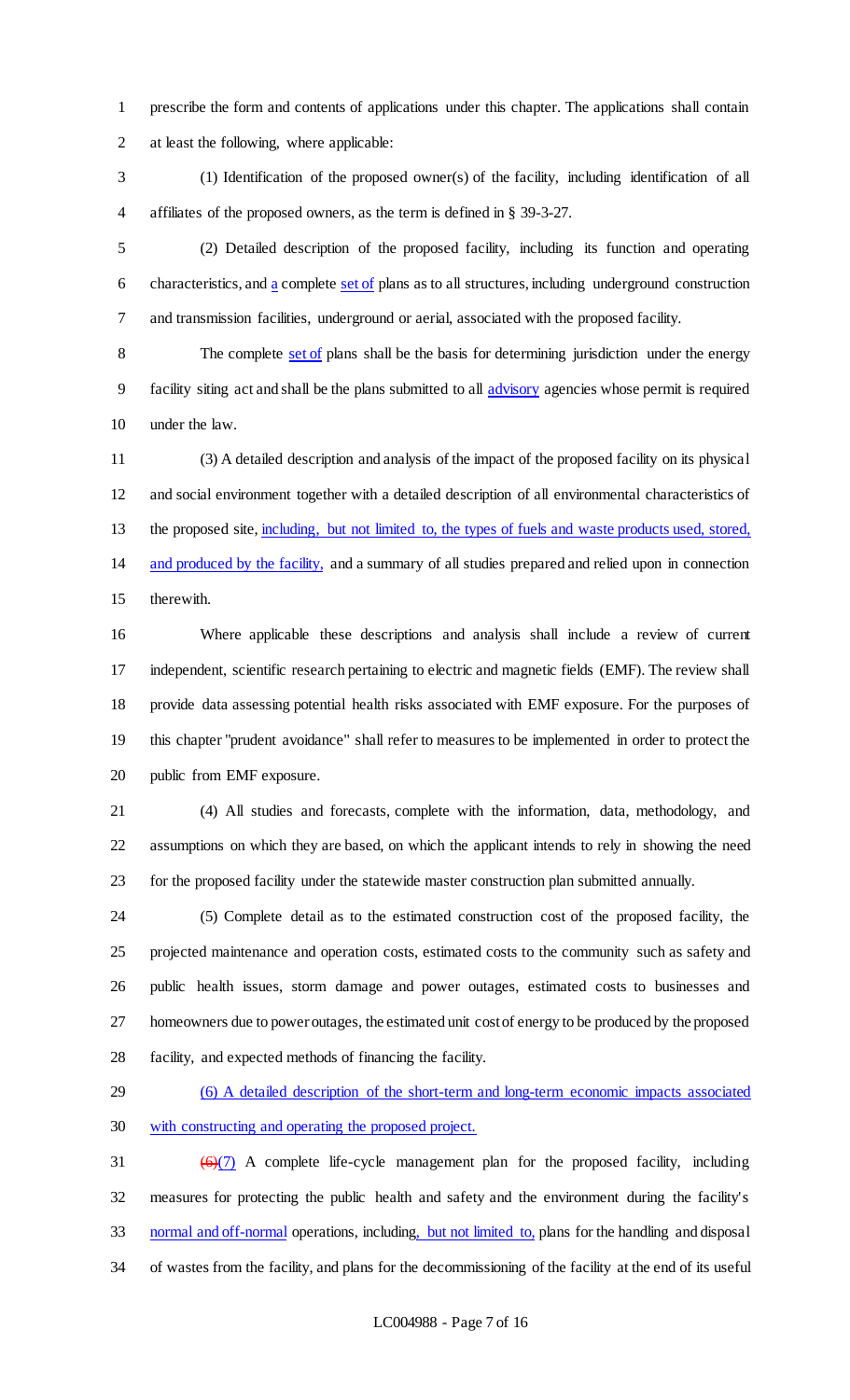prescribe the form and contents of applications under this chapter. The applications shall contain at least the following, where applicable:

 (1) Identification of the proposed owner(s) of the facility, including identification of all affiliates of the proposed owners, as the term is defined in § 39-3-27.

 (2) Detailed description of the proposed facility, including its function and operating 6 characteristics, and  $\frac{a}{a}$  complete set of plans as to all structures, including underground construction and transmission facilities, underground or aerial, associated with the proposed facility.

8 The complete set of plans shall be the basis for determining jurisdiction under the energy facility siting act and shall be the plans submitted to all advisory agencies whose permit is required under the law.

 (3) A detailed description and analysis of the impact of the proposed facility on its physical and social environment together with a detailed description of all environmental characteristics of the proposed site, including, but not limited to, the types of fuels and waste products used, stored, and produced by the facility, and a summary of all studies prepared and relied upon in connection therewith.

 Where applicable these descriptions and analysis shall include a review of current independent, scientific research pertaining to electric and magnetic fields (EMF). The review shall provide data assessing potential health risks associated with EMF exposure. For the purposes of this chapter "prudent avoidance" shall refer to measures to be implemented in order to protect the public from EMF exposure.

 (4) All studies and forecasts, complete with the information, data, methodology, and assumptions on which they are based, on which the applicant intends to rely in showing the need for the proposed facility under the statewide master construction plan submitted annually.

 (5) Complete detail as to the estimated construction cost of the proposed facility, the projected maintenance and operation costs, estimated costs to the community such as safety and public health issues, storm damage and power outages, estimated costs to businesses and homeowners due to power outages, the estimated unit cost of energy to be produced by the proposed facility, and expected methods of financing the facility.

 (6) A detailed description of the short-term and long-term economic impacts associated with constructing and operating the proposed project.

 $(6)(7)$  A complete life-cycle management plan for the proposed facility, including measures for protecting the public health and safety and the environment during the facility's normal and off-normal operations, including, but not limited to, plans for the handling and disposal of wastes from the facility, and plans for the decommissioning of the facility at the end of its useful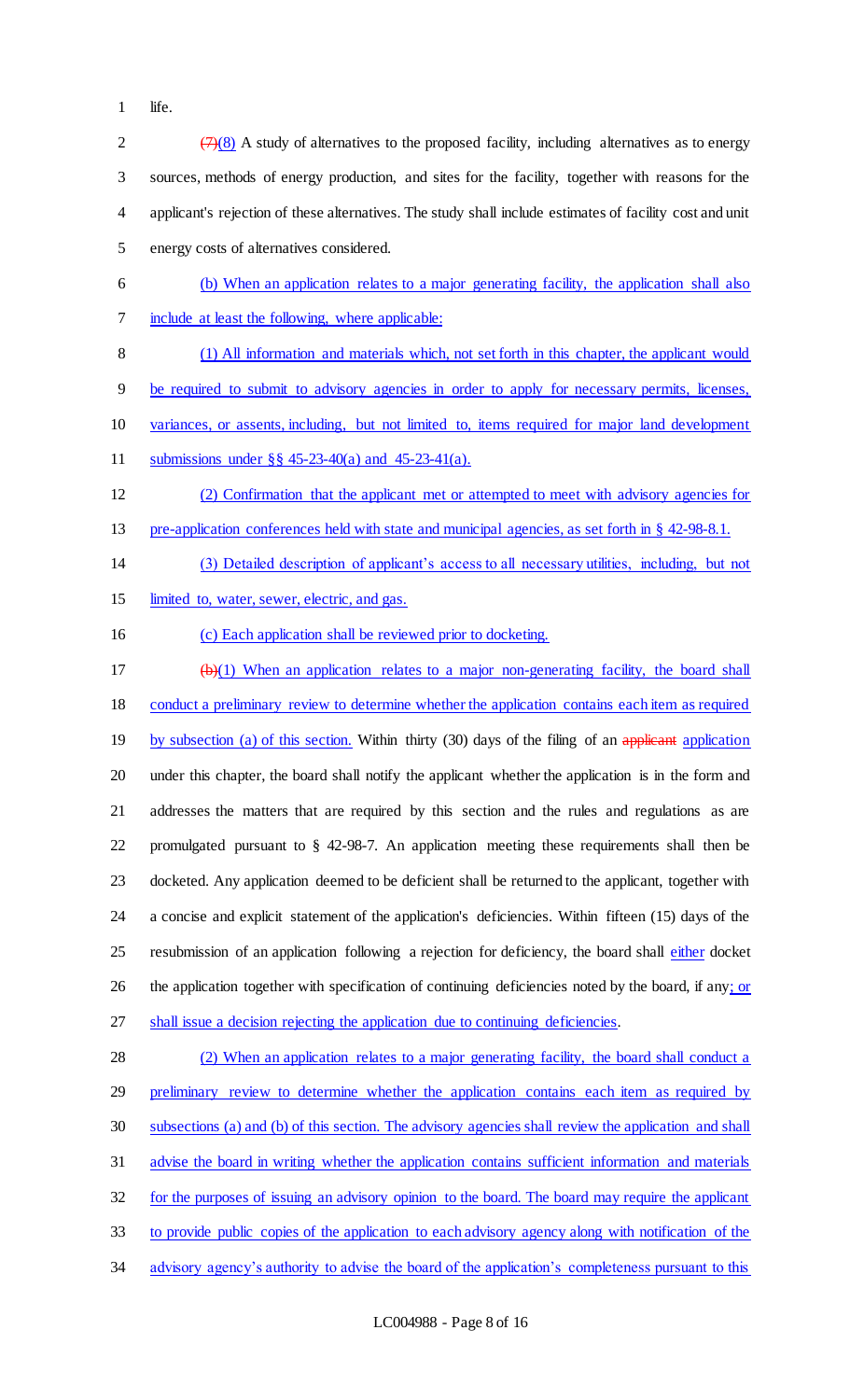1 life.

| $\mathbf{2}$             | $(7)(8)$ A study of alternatives to the proposed facility, including alternatives as to energy             |
|--------------------------|------------------------------------------------------------------------------------------------------------|
| 3                        | sources, methods of energy production, and sites for the facility, together with reasons for the           |
| $\overline{\mathcal{A}}$ | applicant's rejection of these alternatives. The study shall include estimates of facility cost and unit   |
| 5                        | energy costs of alternatives considered.                                                                   |
| 6                        | (b) When an application relates to a major generating facility, the application shall also                 |
| $\tau$                   | include at least the following, where applicable:                                                          |
| $8\,$                    | (1) All information and materials which, not set forth in this chapter, the applicant would                |
| $\overline{9}$           | be required to submit to advisory agencies in order to apply for necessary permits, licenses,              |
| 10                       | variances, or assents, including, but not limited to, items required for major land development            |
| 11                       | submissions under $\S$ $\S$ 45-23-40(a) and 45-23-41(a).                                                   |
| 12                       | (2) Confirmation that the applicant met or attempted to meet with advisory agencies for                    |
| 13                       | pre-application conferences held with state and municipal agencies, as set forth in § 42-98-8.1.           |
| 14                       | (3) Detailed description of applicant's access to all necessary utilities, including, but not              |
| 15                       | limited to, water, sewer, electric, and gas.                                                               |
| 16                       | (c) Each application shall be reviewed prior to docketing.                                                 |
| 17                       | $\left(\frac{b}{c}\right)$ When an application relates to a major non-generating facility, the board shall |
| 18                       | conduct a preliminary review to determine whether the application contains each item as required           |
| 19                       | by subsection (a) of this section. Within thirty (30) days of the filing of an applicant application       |
| 20                       | under this chapter, the board shall notify the applicant whether the application is in the form and        |
| 21                       | addresses the matters that are required by this section and the rules and regulations as are               |
| 22                       | promulgated pursuant to $\S$ 42-98-7. An application meeting these requirements shall then be              |
| 23                       | docketed. Any application deemed to be deficient shall be returned to the applicant, together with         |
| 24                       | a concise and explicit statement of the application's deficiencies. Within fifteen (15) days of the        |
| 25                       | resubmission of an application following a rejection for deficiency, the board shall either docket         |
| 26                       | the application together with specification of continuing deficiencies noted by the board, if any; or      |
| 27                       | shall issue a decision rejecting the application due to continuing deficiencies.                           |
| 28                       | (2) When an application relates to a major generating facility, the board shall conduct a                  |
| 29                       | preliminary review to determine whether the application contains each item as required by                  |
| 30                       | subsections (a) and (b) of this section. The advisory agencies shall review the application and shall      |
| 31                       | advise the board in writing whether the application contains sufficient information and materials          |
| 32                       | for the purposes of issuing an advisory opinion to the board. The board may require the applicant          |
| 33                       | to provide public copies of the application to each advisory agency along with notification of the         |
| 34                       | advisory agency's authority to advise the board of the application's completeness pursuant to this         |
|                          |                                                                                                            |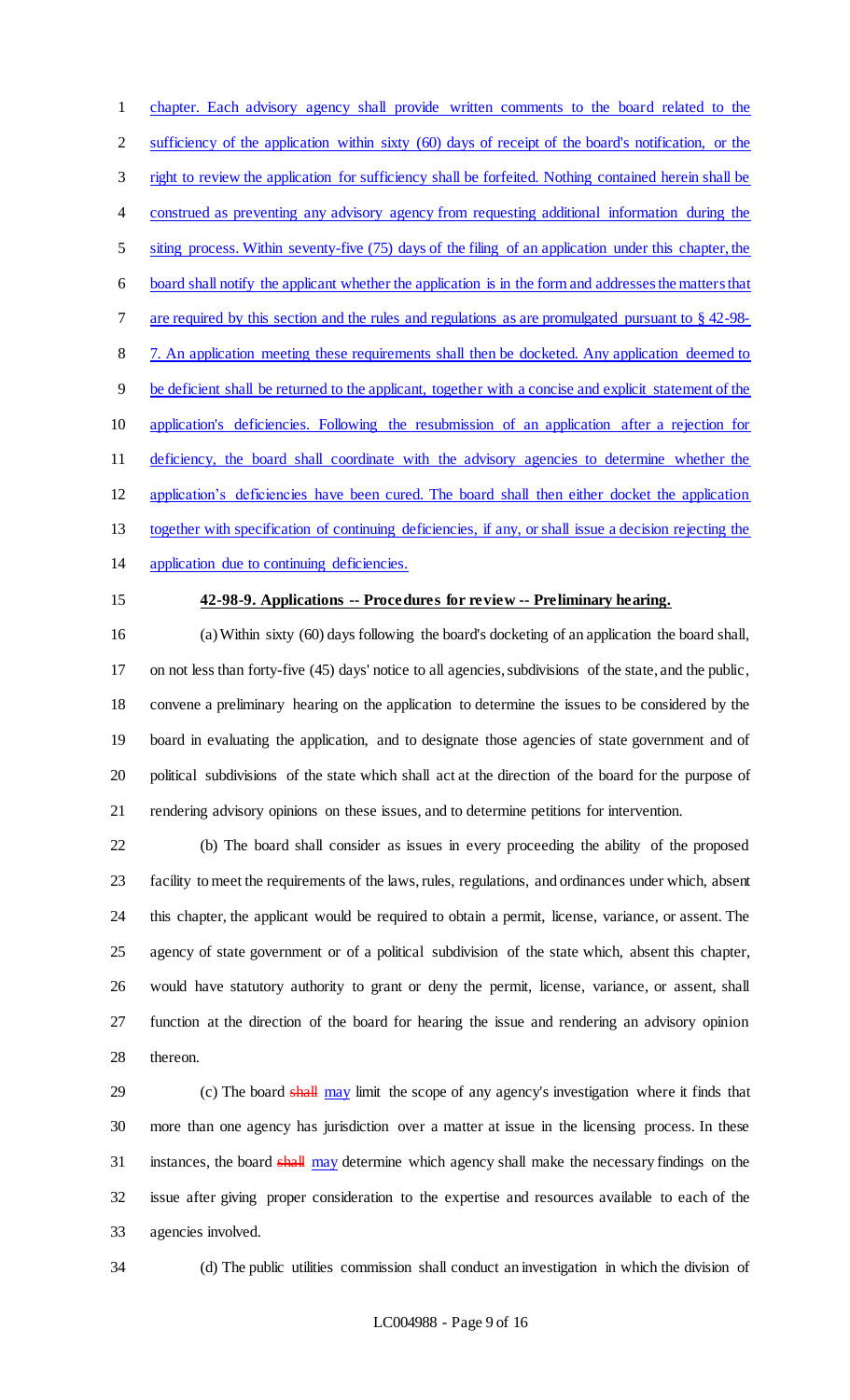chapter. Each advisory agency shall provide written comments to the board related to the sufficiency of the application within sixty (60) days of receipt of the board's notification, or the right to review the application for sufficiency shall be forfeited. Nothing contained herein shall be construed as preventing any advisory agency from requesting additional information during the siting process. Within seventy-five (75) days of the filing of an application under this chapter, the board shall notify the applicant whether the application is in the form and addresses the matters that are required by this section and the rules and regulations as are promulgated pursuant to § 42-98- 7. An application meeting these requirements shall then be docketed. Any application deemed to be deficient shall be returned to the applicant, together with a concise and explicit statement of the application's deficiencies. Following the resubmission of an application after a rejection for deficiency, the board shall coordinate with the advisory agencies to determine whether the application's deficiencies have been cured. The board shall then either docket the application together with specification of continuing deficiencies, if any, or shall issue a decision rejecting the application due to continuing deficiencies.

### **42-98-9. Applications -- Procedures for review -- Preliminary hearing.**

 (a) Within sixty (60) days following the board's docketing of an application the board shall, on not less than forty-five (45) days' notice to all agencies, subdivisions of the state, and the public, convene a preliminary hearing on the application to determine the issues to be considered by the board in evaluating the application, and to designate those agencies of state government and of political subdivisions of the state which shall act at the direction of the board for the purpose of rendering advisory opinions on these issues, and to determine petitions for intervention.

 (b) The board shall consider as issues in every proceeding the ability of the proposed facility to meet the requirements of the laws, rules, regulations, and ordinances under which, absent this chapter, the applicant would be required to obtain a permit, license, variance, or assent. The agency of state government or of a political subdivision of the state which, absent this chapter, would have statutory authority to grant or deny the permit, license, variance, or assent, shall function at the direction of the board for hearing the issue and rendering an advisory opinion thereon.

29 (c) The board shall may limit the scope of any agency's investigation where it finds that more than one agency has jurisdiction over a matter at issue in the licensing process. In these 31 instances, the board shall may determine which agency shall make the necessary findings on the issue after giving proper consideration to the expertise and resources available to each of the agencies involved.

(d) The public utilities commission shall conduct an investigation in which the division of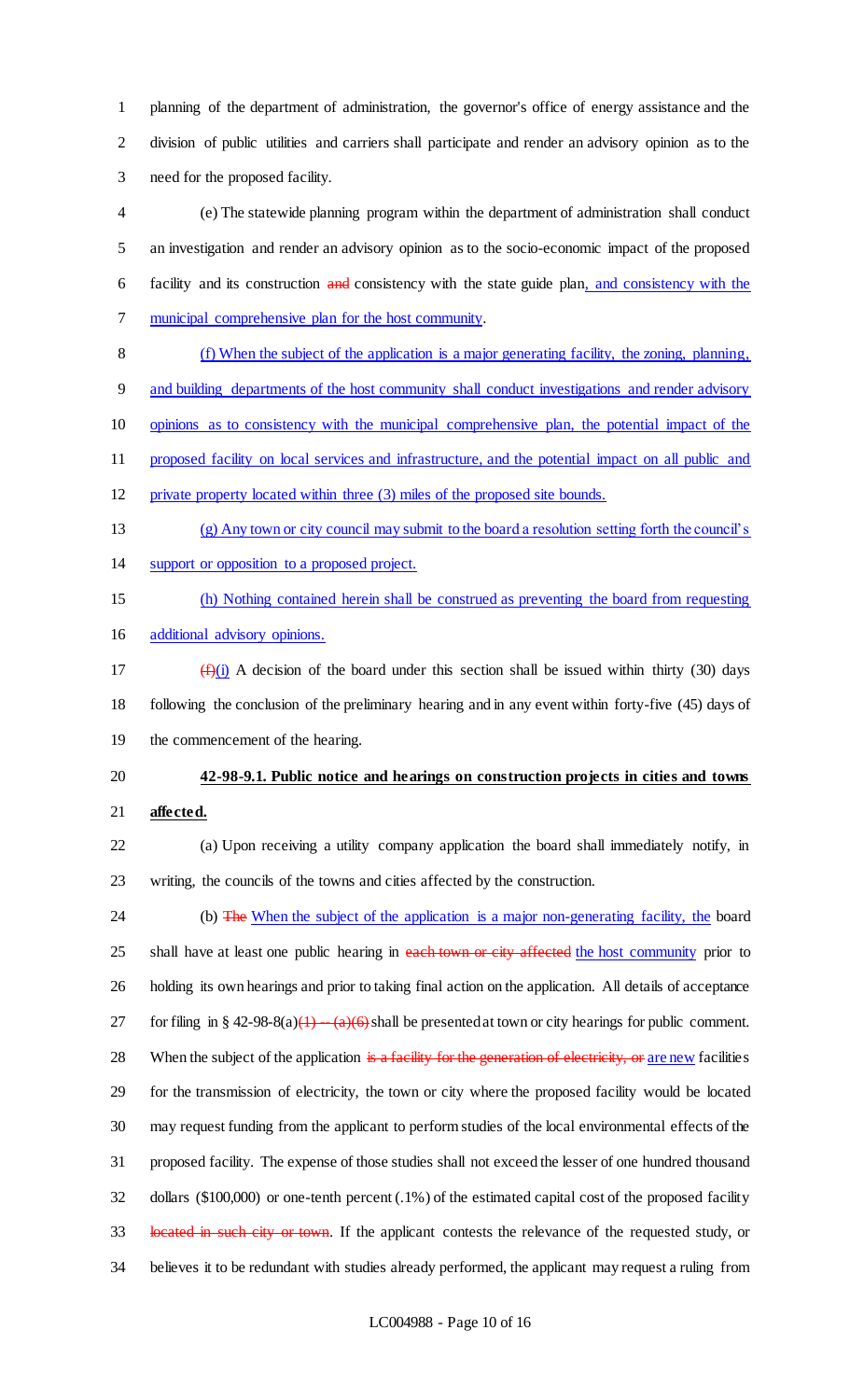planning of the department of administration, the governor's office of energy assistance and the division of public utilities and carriers shall participate and render an advisory opinion as to the need for the proposed facility.

 (e) The statewide planning program within the department of administration shall conduct an investigation and render an advisory opinion as to the socio-economic impact of the proposed 6 facility and its construction and consistency with the state guide plan, and consistency with the municipal comprehensive plan for the host community.

 (f) When the subject of the application is a major generating facility, the zoning, planning, and building departments of the host community shall conduct investigations and render advisory opinions as to consistency with the municipal comprehensive plan, the potential impact of the

 proposed facility on local services and infrastructure, and the potential impact on all public and private property located within three (3) miles of the proposed site bounds.

- (g) Any town or city council may submit to the board a resolution setting forth the council's
- support or opposition to a proposed project.

 (h) Nothing contained herein shall be construed as preventing the board from requesting additional advisory opinions.

17  $(f)(i)$  A decision of the board under this section shall be issued within thirty (30) days following the conclusion of the preliminary hearing and in any event within forty-five (45) days of the commencement of the hearing.

# **42-98-9.1. Public notice and hearings on construction projects in cities and towns affected.**

- (a) Upon receiving a utility company application the board shall immediately notify, in writing, the councils of the towns and cities affected by the construction.
- 24 (b) The When the subject of the application is a major non-generating facility, the board 25 shall have at least one public hearing in each town or city affected the host community prior to holding its own hearings and prior to taking final action on the application. All details of acceptance 27 for filing in § 42-98-8(a)(1)  $-(a)(6)$  shall be presented at town or city hearings for public comment. 28 When the subject of the application is a facility for the generation of electricity, or are new facilities for the transmission of electricity, the town or city where the proposed facility would be located may request funding from the applicant to perform studies of the local environmental effects of the proposed facility. The expense of those studies shall not exceed the lesser of one hundred thousand dollars (\$100,000) or one-tenth percent (.1%) of the estimated capital cost of the proposed facility 33 located in such city or town. If the applicant contests the relevance of the requested study, or believes it to be redundant with studies already performed, the applicant may request a ruling from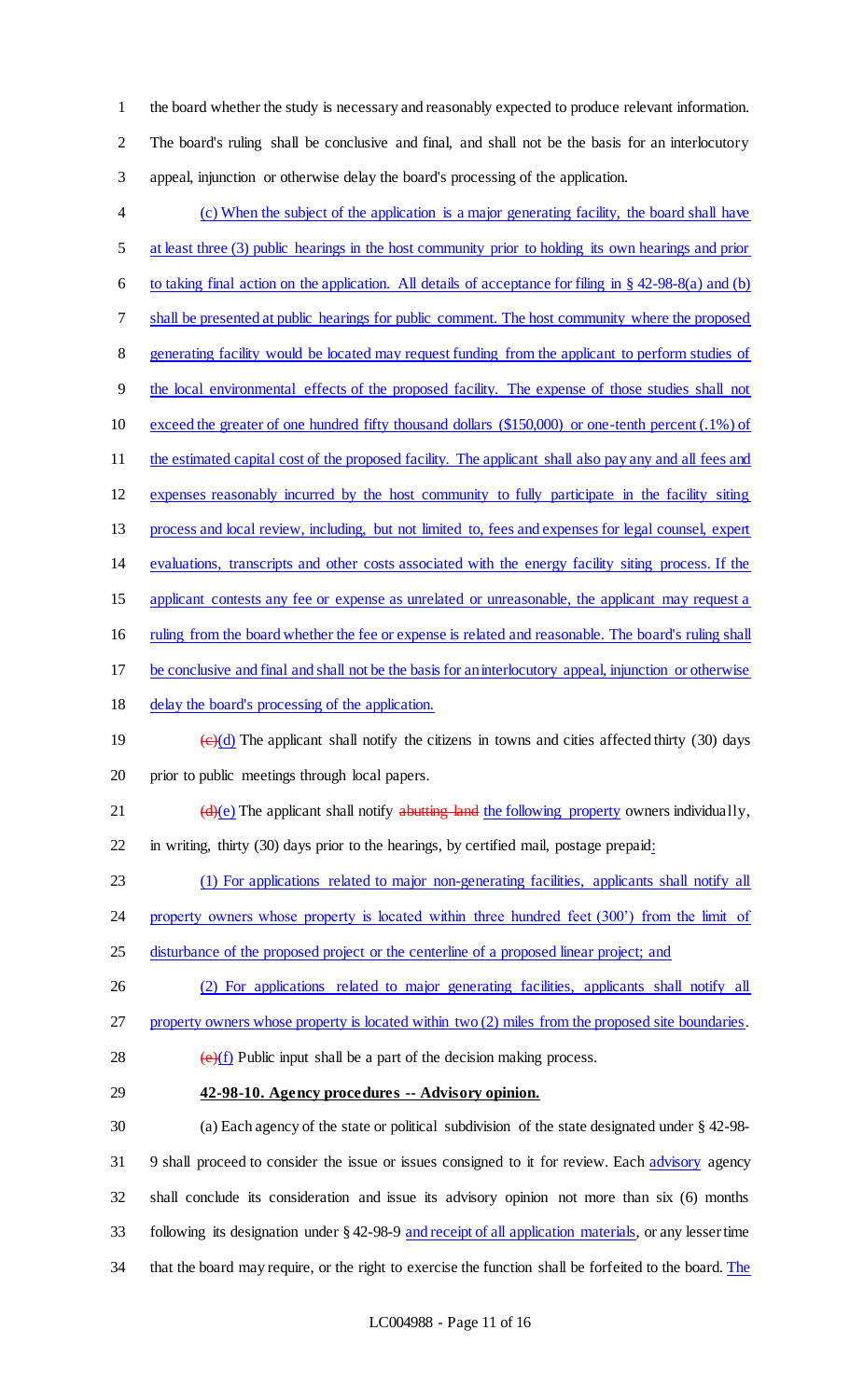the board whether the study is necessary and reasonably expected to produce relevant information. The board's ruling shall be conclusive and final, and shall not be the basis for an interlocutory appeal, injunction or otherwise delay the board's processing of the application.

- (c) When the subject of the application is a major generating facility, the board shall have at least three (3) public hearings in the host community prior to holding its own hearings and prior 6 to taking final action on the application. All details of acceptance for filing in  $\S$  42-98-8(a) and (b) shall be presented at public hearings for public comment. The host community where the proposed generating facility would be located may request funding from the applicant to perform studies of the local environmental effects of the proposed facility. The expense of those studies shall not exceed the greater of one hundred fifty thousand dollars (\$150,000) or one-tenth percent (.1%) of 11 the estimated capital cost of the proposed facility. The applicant shall also pay any and all fees and expenses reasonably incurred by the host community to fully participate in the facility siting process and local review, including, but not limited to, fees and expenses for legal counsel, expert evaluations, transcripts and other costs associated with the energy facility siting process. If the 15 applicant contests any fee or expense as unrelated or unreasonable, the applicant may request a ruling from the board whether the fee or expense is related and reasonable. The board's ruling shall be conclusive and final and shall not be the basis for an interlocutory appeal, injunction or otherwise delay the board's processing of the application. 19  $\left(\frac{e}{d}\right)$  The applicant shall notify the citizens in towns and cities affected thirty (30) days prior to public meetings through local papers. 21  $(d)(e)$  The applicant shall notify abutting land the following property owners individually, in writing, thirty (30) days prior to the hearings, by certified mail, postage prepaid: (1) For applications related to major non-generating facilities, applicants shall notify all 24 property owners whose property is located within three hundred feet (300<sup>°</sup>) from the limit of 25 disturbance of the proposed project or the centerline of a proposed linear project; and (2) For applications related to major generating facilities, applicants shall notify all 27 property owners whose property is located within two (2) miles from the proposed site boundaries. 28  $\left(\frac{e}{f}\right)$  Public input shall be a part of the decision making process.
- **42-98-10. Agency procedures -- Advisory opinion.**
- (a) Each agency of the state or political subdivision of the state designated under § 42-98- 9 shall proceed to consider the issue or issues consigned to it for review. Each advisory agency shall conclude its consideration and issue its advisory opinion not more than six (6) months following its designation under § 42-98-9 and receipt of all application materials, or any lesser time 34 that the board may require, or the right to exercise the function shall be forfeited to the board. The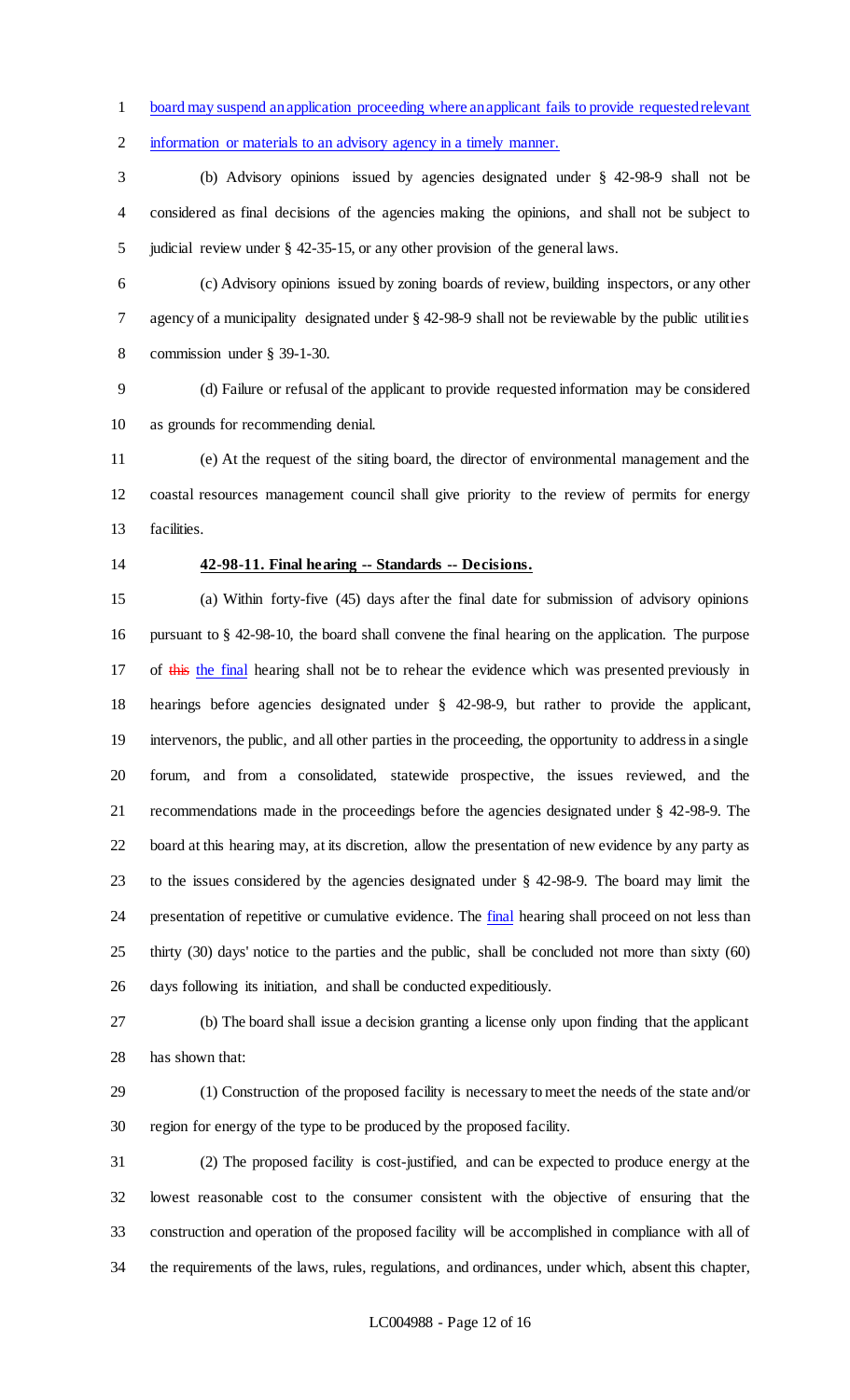board may suspend an application proceeding where an applicant fails to provide requested relevant

information or materials to an advisory agency in a timely manner.

 (b) Advisory opinions issued by agencies designated under § 42-98-9 shall not be considered as final decisions of the agencies making the opinions, and shall not be subject to judicial review under § 42-35-15, or any other provision of the general laws.

 (c) Advisory opinions issued by zoning boards of review, building inspectors, or any other agency of a municipality designated under § 42-98-9 shall not be reviewable by the public utilities commission under § 39-1-30.

 (d) Failure or refusal of the applicant to provide requested information may be considered as grounds for recommending denial.

 (e) At the request of the siting board, the director of environmental management and the coastal resources management council shall give priority to the review of permits for energy facilities.

### **42-98-11. Final hearing -- Standards -- Decisions.**

 (a) Within forty-five (45) days after the final date for submission of advisory opinions pursuant to § 42-98-10, the board shall convene the final hearing on the application. The purpose 17 of this the final hearing shall not be to rehear the evidence which was presented previously in hearings before agencies designated under § 42-98-9, but rather to provide the applicant, intervenors, the public, and all other parties in the proceeding, the opportunity to address in a single forum, and from a consolidated, statewide prospective, the issues reviewed, and the recommendations made in the proceedings before the agencies designated under § 42-98-9. The board at this hearing may, at its discretion, allow the presentation of new evidence by any party as to the issues considered by the agencies designated under § 42-98-9. The board may limit the 24 presentation of repetitive or cumulative evidence. The **final** hearing shall proceed on not less than thirty (30) days' notice to the parties and the public, shall be concluded not more than sixty (60) days following its initiation, and shall be conducted expeditiously.

 (b) The board shall issue a decision granting a license only upon finding that the applicant has shown that:

 (1) Construction of the proposed facility is necessary to meet the needs of the state and/or region for energy of the type to be produced by the proposed facility.

 (2) The proposed facility is cost-justified, and can be expected to produce energy at the lowest reasonable cost to the consumer consistent with the objective of ensuring that the construction and operation of the proposed facility will be accomplished in compliance with all of the requirements of the laws, rules, regulations, and ordinances, under which, absent this chapter,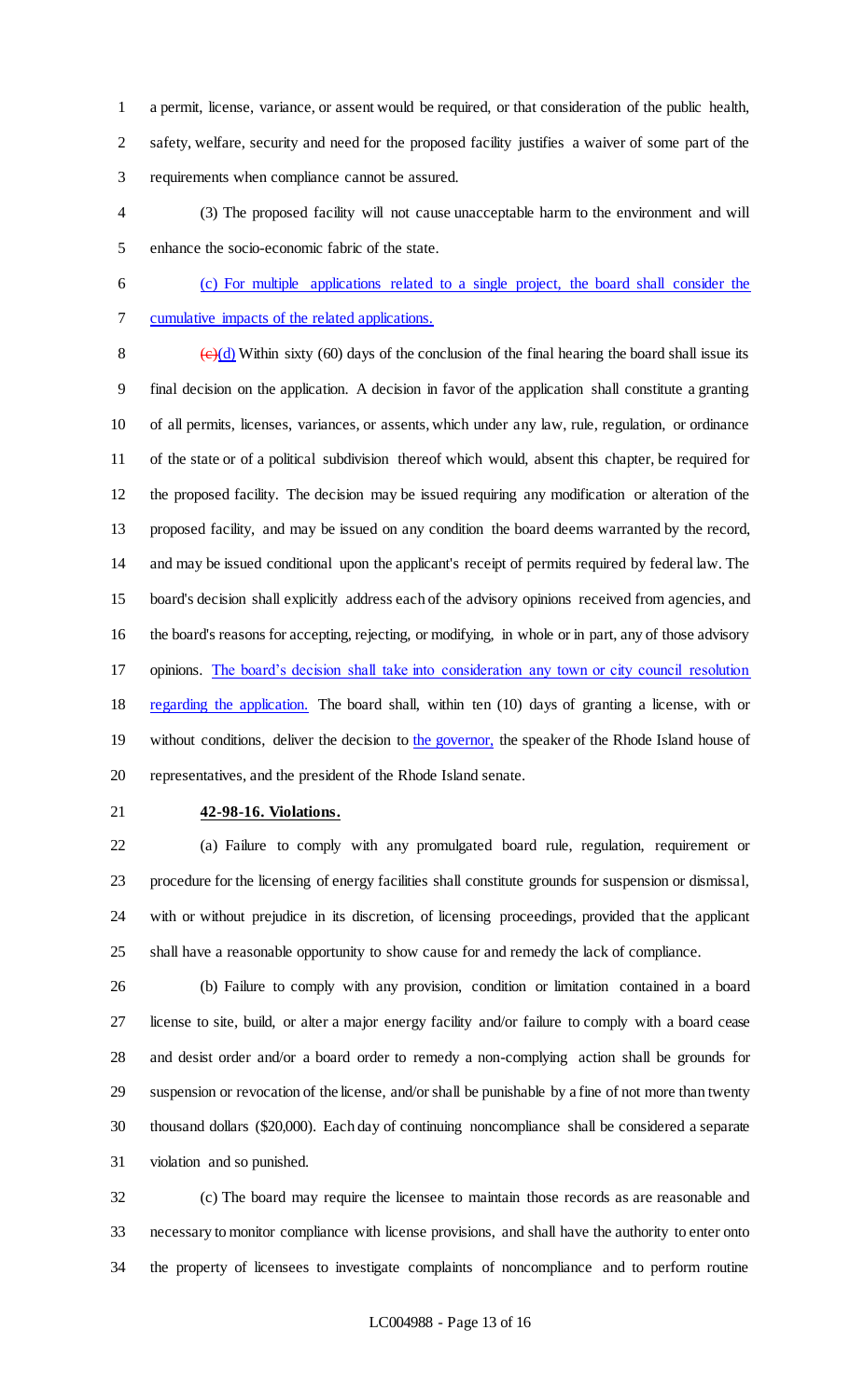a permit, license, variance, or assent would be required, or that consideration of the public health, safety, welfare, security and need for the proposed facility justifies a waiver of some part of the requirements when compliance cannot be assured.

- (3) The proposed facility will not cause unacceptable harm to the environment and will enhance the socio-economic fabric of the state.
- (c) For multiple applications related to a single project, the board shall consider the cumulative impacts of the related applications.

 $\left(\frac{e}{d}\right)$  Within sixty (60) days of the conclusion of the final hearing the board shall issue its final decision on the application. A decision in favor of the application shall constitute a granting of all permits, licenses, variances, or assents, which under any law, rule, regulation, or ordinance of the state or of a political subdivision thereof which would, absent this chapter, be required for the proposed facility. The decision may be issued requiring any modification or alteration of the proposed facility, and may be issued on any condition the board deems warranted by the record, and may be issued conditional upon the applicant's receipt of permits required by federal law. The board's decision shall explicitly address each of the advisory opinions received from agencies, and the board's reasons for accepting, rejecting, or modifying, in whole or in part, any of those advisory opinions. The board's decision shall take into consideration any town or city council resolution 18 regarding the application. The board shall, within ten (10) days of granting a license, with or 19 without conditions, deliver the decision to the governor, the speaker of the Rhode Island house of representatives, and the president of the Rhode Island senate.

### **42-98-16. Violations.**

 (a) Failure to comply with any promulgated board rule, regulation, requirement or procedure for the licensing of energy facilities shall constitute grounds for suspension or dismissal, with or without prejudice in its discretion, of licensing proceedings, provided that the applicant shall have a reasonable opportunity to show cause for and remedy the lack of compliance.

 (b) Failure to comply with any provision, condition or limitation contained in a board license to site, build, or alter a major energy facility and/or failure to comply with a board cease and desist order and/or a board order to remedy a non-complying action shall be grounds for suspension or revocation of the license, and/or shall be punishable by a fine of not more than twenty thousand dollars (\$20,000). Each day of continuing noncompliance shall be considered a separate violation and so punished.

 (c) The board may require the licensee to maintain those records as are reasonable and necessary to monitor compliance with license provisions, and shall have the authority to enter onto the property of licensees to investigate complaints of noncompliance and to perform routine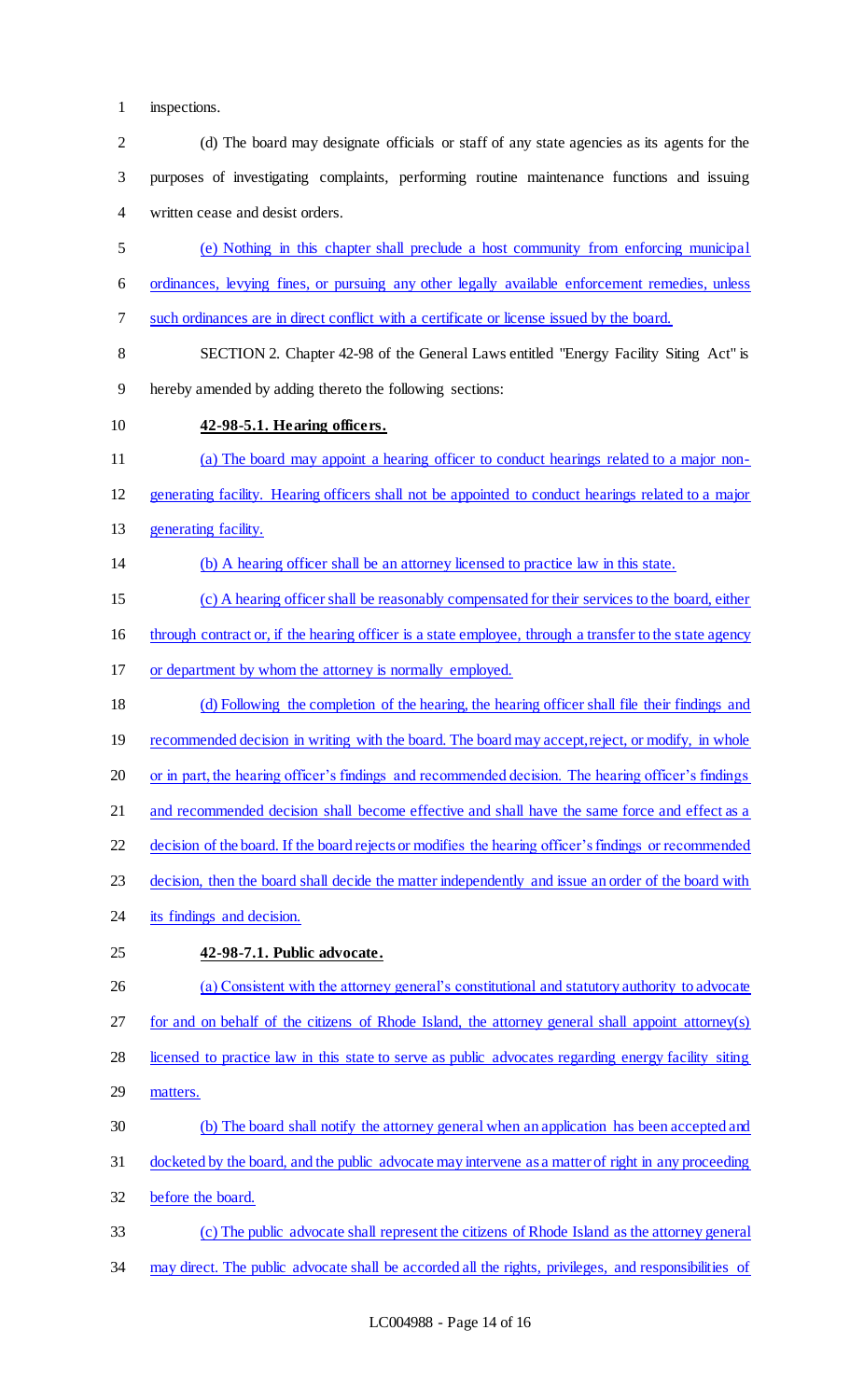inspections.

 (d) The board may designate officials or staff of any state agencies as its agents for the purposes of investigating complaints, performing routine maintenance functions and issuing written cease and desist orders. (e) Nothing in this chapter shall preclude a host community from enforcing municipal ordinances, levying fines, or pursuing any other legally available enforcement remedies, unless such ordinances are in direct conflict with a certificate or license issued by the board. SECTION 2. Chapter 42-98 of the General Laws entitled "Energy Facility Siting Act" is hereby amended by adding thereto the following sections: **42-98-5.1. Hearing officers.**  (a) The board may appoint a hearing officer to conduct hearings related to a major non- generating facility. Hearing officers shall not be appointed to conduct hearings related to a major 13 generating facility. (b) A hearing officer shall be an attorney licensed to practice law in this state. (c) A hearing officer shall be reasonably compensated for their services to the board, either 16 through contract or, if the hearing officer is a state employee, through a transfer to the state agency or department by whom the attorney is normally employed. (d) Following the completion of the hearing, the hearing officer shall file their findings and 19 recommended decision in writing with the board. The board may accept, reject, or modify, in whole 20 or in part, the hearing officer's findings and recommended decision. The hearing officer's findings 21 and recommended decision shall become effective and shall have the same force and effect as a decision of the board. If the board rejects or modifies the hearing officer's findings or recommended decision, then the board shall decide the matter independently and issue an order of the board with 24 its findings and decision. **42-98-7.1. Public advocate.**  (a) Consistent with the attorney general's constitutional and statutory authority to advocate for and on behalf of the citizens of Rhode Island, the attorney general shall appoint attorney(s) licensed to practice law in this state to serve as public advocates regarding energy facility siting matters. (b) The board shall notify the attorney general when an application has been accepted and docketed by the board, and the public advocate may intervene as a matter of right in any proceeding before the board. (c) The public advocate shall represent the citizens of Rhode Island as the attorney general may direct. The public advocate shall be accorded all the rights, privileges, and responsibilities of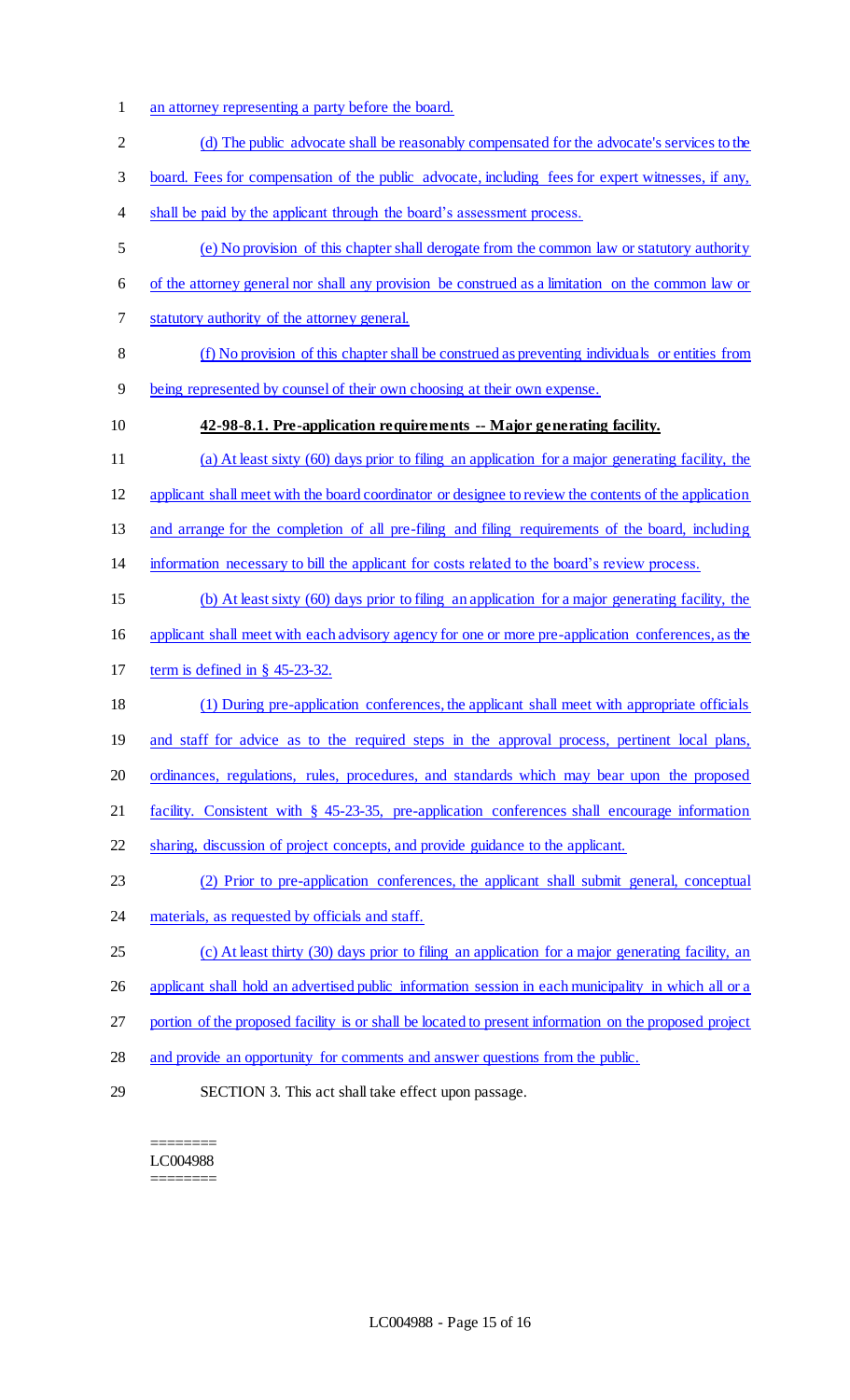- an attorney representing a party before the board.
- 2 (d) The public advocate shall be reasonably compensated for the advocate's services to the
- board. Fees for compensation of the public advocate, including fees for expert witnesses, if any,
- 4 shall be paid by the applicant through the board's assessment process.
- (e) No provision of this chapter shall derogate from the common law or statutory authority
- of the attorney general nor shall any provision be construed as a limitation on the common law or
- statutory authority of the attorney general.
- (f) No provision of this chapter shall be construed as preventing individuals or entities from
- being represented by counsel of their own choosing at their own expense.
- 

# **42-98-8.1. Pre-application requirements -- Major generating facility.**

 (a) At least sixty (60) days prior to filing an application for a major generating facility, the applicant shall meet with the board coordinator or designee to review the contents of the application and arrange for the completion of all pre-filing and filing requirements of the board, including information necessary to bill the applicant for costs related to the board's review process. (b) At least sixty (60) days prior to filing an application for a major generating facility, the applicant shall meet with each advisory agency for one or more pre-application conferences, as the term is defined in § 45-23-32.

- (1) During pre-application conferences, the applicant shall meet with appropriate officials
- 19 and staff for advice as to the required steps in the approval process, pertinent local plans,
- ordinances, regulations, rules, procedures, and standards which may bear upon the proposed
- facility. Consistent with § 45-23-35, pre-application conferences shall encourage information
- sharing, discussion of project concepts, and provide guidance to the applicant.
- (2) Prior to pre-application conferences, the applicant shall submit general, conceptual
- 24 materials, as requested by officials and staff.
- (c) At least thirty (30) days prior to filing an application for a major generating facility, an
- 26 applicant shall hold an advertised public information session in each municipality in which all or a
- portion of the proposed facility is or shall be located to present information on the proposed project
- and provide an opportunity for comments and answer questions from the public.
- 

SECTION 3. This act shall take effect upon passage.

======== LC004988 ========